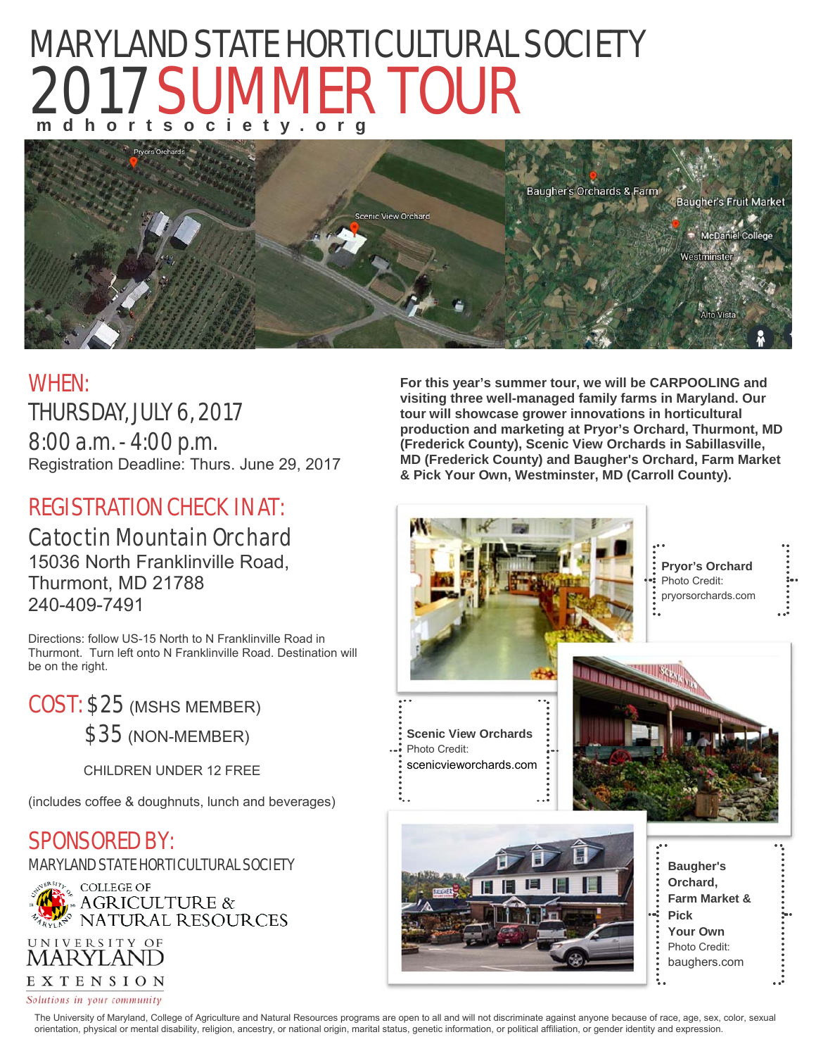# MARYLAND STATE HORTICULTURAL SOCIETY 2017 SUMMER TOUR **mdhortsociety.org**<br>Proces orchards – Report Orchards – Report Of Line of Line 2019





## WHEN: THURSDAY, JULY 6, 2017

8:00 a.m. - 4:00 p.m. Registration Deadline: Thurs. June 29, 2017

## REGISTRATION CHECK IN AT:

## Catoctin Mountain Orchard

15036 North Franklinville Road, Thurmont, MD 21788 240-409-7491

Directions: follow US-15 North to N Franklinville Road in Thurmont. Turn left onto N Franklinville Road. Destination will be on the right.

COST: \$25 (MSHS MEMBER) \$35 (NON-MEMBER)

CHILDREN UNDER 12 FREE

(includes coffee & doughnuts, lunch and beverages)

### SPONSORED BY:

MARYLAND STATE HORTICULTURAL SOCIETY





**For this year's summer tour, we will be CARPOOLING and visiting three well-managed family farms in Maryland. Our tour will showcase grower innovations in horticultural production and marketing at Pryor's Orchard, Thurmont, MD (Frederick County), Scenic View Orchards in Sabillasville, MD (Frederick County) and Baugher's Orchard, Farm Market & Pick Your Own, Westminster, MD (Carroll County).**



The University of Maryland, College of Agriculture and Natural Resources programs are open to all and will not discriminate against anyone because of race, age, sex, color, sexual orientation, physical or mental disability, religion, ancestry, or national origin, marital status, genetic information, or political affiliation, or gender identity and expression.